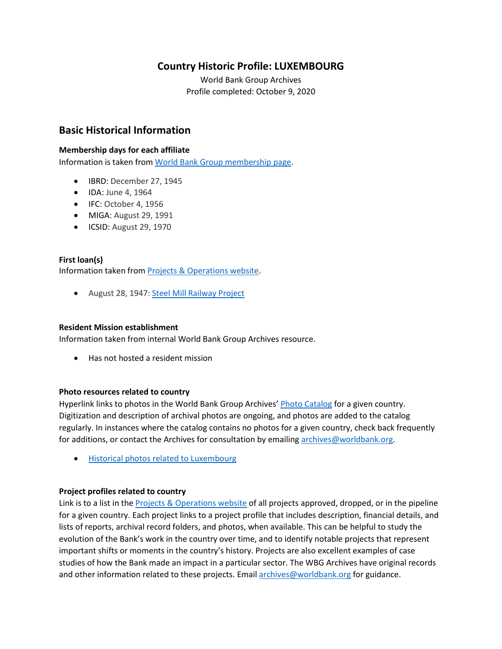# **Country Historic Profile: LUXEMBOURG**

World Bank Group Archives Profile completed: October 9, 2020

# **Basic Historical Information**

#### **Membership days for each affiliate**

Information is taken from [World Bank Group membership page.](https://www.worldbank.org/en/about/leadership/members#1)

- IBRD: December 27, 1945
- IDA: June 4, 1964
- IFC: October 4, 1956
- MIGA: August 29, 1991
- ICSID: August 29, 1970

#### **First loan(s)**

Information taken from [Projects & Operations website.](https://projects.worldbank.org/)

• August 28, 1947: [Steel Mill Railway Project](https://projects.worldbank.org/en/projects-operations/project-detail/P037451)

#### **Resident Mission establishment**

Information taken from internal World Bank Group Archives resource.

• Has not hosted a resident mission

#### **Photo resources related to country**

Hyperlink links to photos in the World Bank Group Archives' [Photo Catalog](https://archivesphotos.worldbank.org/en/about/archives/photo-gallery) for a given country. Digitization and description of archival photos are ongoing, and photos are added to the catalog regularly. In instances where the catalog contains no photos for a given country, check back frequently for additions, or contact the Archives for consultation by emailin[g archives@worldbank.org.](mailto:archives@worldbank.org)

• [Historical photos related to Luxembourg](https://archivesphotos.worldbank.org/en/about/archives/photo-gallery/photo-gallery-landing?&qterm=Luxembourg)

## **Project profiles related to country**

Link is to a list in the [Projects & Operations website](https://projects.worldbank.org/) of all projects approved, dropped, or in the pipeline for a given country. Each project links to a project profile that includes description, financial details, and lists of reports, archival record folders, and photos, when available. This can be helpful to study the evolution of the Bank's work in the country over time, and to identify notable projects that represent important shifts or moments in the country's history. Projects are also excellent examples of case studies of how the Bank made an impact in a particular sector. The WBG Archives have original records and other information related to these projects. Email [archives@worldbank.org](mailto:archives@worldbank.org) for guidance.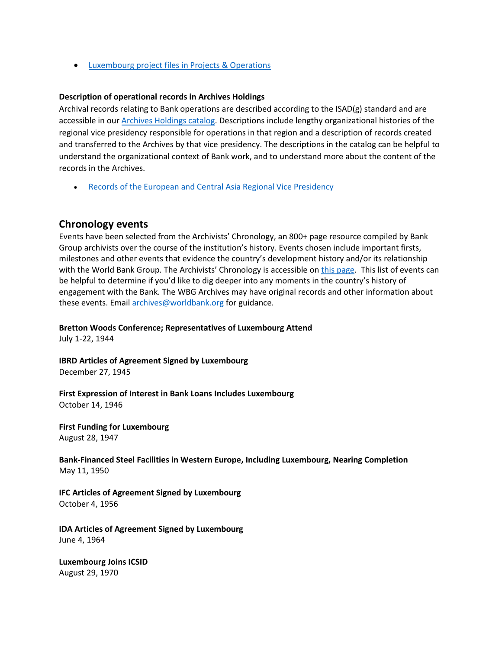• [Luxembourg project files in Projects & Operations](https://projects.worldbank.org/en/projects-operations/projects-summary?countrycode_exact=LU)

#### **Description of operational records in Archives Holdings**

Archival records relating to Bank operations are described according to the ISAD(g) standard and are accessible in our [Archives Holdings catalog.](https://archivesholdings.worldbank.org/) Descriptions include lengthy organizational histories of the regional vice presidency responsible for operations in that region and a description of records created and transferred to the Archives by that vice presidency. The descriptions in the catalog can be helpful to understand the organizational context of Bank work, and to understand more about the content of the records in the Archives.

**[Records of the European and Central Asia Regional Vice Presidency](https://archivesholdings.worldbank.org/records-of-europe-and-central-asia-regional-vice-presidency)** 

## **Chronology events**

Events have been selected from the Archivists' Chronology, an 800+ page resource compiled by Bank Group archivists over the course of the institution's history. Events chosen include important firsts, milestones and other events that evidence the country's development history and/or its relationship with the World Bank Group. The Archivists' Chronology is accessible on [this page.](https://www.worldbank.org/en/about/archives/history/timeline) This list of events can be helpful to determine if you'd like to dig deeper into any moments in the country's history of engagement with the Bank. The WBG Archives may have original records and other information about these events. Email [archives@worldbank.org](mailto:archives@worldbank.org) for guidance.

**Bretton Woods Conference; Representatives of Luxembourg Attend**

July 1-22, 1944

**IBRD Articles of Agreement Signed by Luxembourg**  December 27, 1945

**First Expression of Interest in Bank Loans Includes Luxembourg** October 14, 1946

**First Funding for Luxembourg**  August 28, 1947

**Bank-Financed Steel Facilities in Western Europe, Including Luxembourg, Nearing Completion**  May 11, 1950

**IFC Articles of Agreement Signed by Luxembourg**  October 4, 1956

**IDA Articles of Agreement Signed by Luxembourg**  June 4, 1964

**Luxembourg Joins ICSID**  August 29, 1970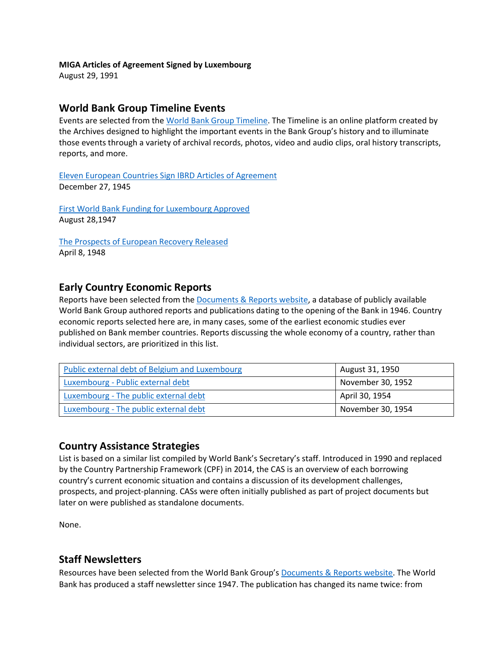#### **MIGA Articles of Agreement Signed by Luxembourg**

August 29, 1991

## **World Bank Group Timeline Events**

Events are selected from th[e World Bank Group Timeline.](https://timeline.worldbank.org/#event-bretton-woods-conference-begins) The Timeline is an online platform created by the Archives designed to highlight the important events in the Bank Group's history and to illuminate those events through a variety of archival records, photos, video and audio clips, oral history transcripts, reports, and more.

[Eleven European Countries Sign IBRD Articles of Agreement](https://timeline.worldbank.org/?field_timeline_target_id=All&combine=luxembourg%23event-eleven-european-countries-sign-ibrd-articles-of-agreement) December 27, 1945

[First World Bank Funding for Luxembourg Approved](https://timeline.worldbank.org/?field_timeline_target_id=All&combine=luxembourg%23event-first-world-bank-funding-for-luxembourg-approved) August 28,1947

[The Prospects of European Recovery Released](https://timeline.worldbank.org/?field_timeline_target_id=All&combine=luxembourg%23event-the-prospects-of-european-recovery-released) April 8, 1948

## **Early Country Economic Reports**

Reports have been selected from the [Documents & Reports website,](https://documents.worldbank.org/) a database of publicly available World Bank Group authored reports and publications dating to the opening of the Bank in 1946. Country economic reports selected here are, in many cases, some of the earliest economic studies ever published on Bank member countries. Reports discussing the whole economy of a country, rather than individual sectors, are prioritized in this list.

| Public external debt of Belgium and Luxembourg | August 31, 1950   |
|------------------------------------------------|-------------------|
| Luxembourg - Public external debt              | November 30, 1952 |
| Luxembourg - The public external debt          | April 30, 1954    |
| Luxembourg - The public external debt          | November 30, 1954 |

## **Country Assistance Strategies**

List is based on a similar list compiled by World Bank's Secretary's staff. Introduced in 1990 and replaced by the Country Partnership Framework (CPF) in 2014, the CAS is an overview of each borrowing country's current economic situation and contains a discussion of its development challenges, prospects, and project-planning. CASs were often initially published as part of project documents but later on were published as standalone documents.

None.

## **Staff Newsletters**

Resources have been selected from the World Bank Group's [Documents & Reports website.](https://documents.worldbank.org/) The World Bank has produced a staff newsletter since 1947. The publication has changed its name twice: from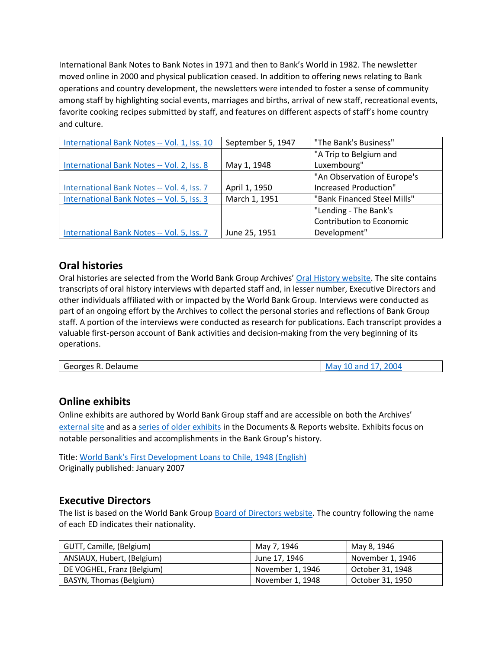International Bank Notes to Bank Notes in 1971 and then to Bank's World in 1982. The newsletter moved online in 2000 and physical publication ceased. In addition to offering news relating to Bank operations and country development, the newsletters were intended to foster a sense of community among staff by highlighting social events, marriages and births, arrival of new staff, recreational events, favorite cooking recipes submitted by staff, and features on different aspects of staff's home country and culture.

| International Bank Notes -- Vol. 1, Iss. 10 | September 5, 1947 | "The Bank's Business"           |  |
|---------------------------------------------|-------------------|---------------------------------|--|
|                                             |                   | "A Trip to Belgium and          |  |
| International Bank Notes -- Vol. 2, Iss. 8  | May 1, 1948       | Luxembourg"                     |  |
|                                             |                   | "An Observation of Europe's     |  |
| International Bank Notes -- Vol. 4, Iss. 7  | April 1, 1950     | Increased Production"           |  |
| International Bank Notes -- Vol. 5, Iss. 3  | March 1, 1951     | "Bank Financed Steel Mills"     |  |
|                                             |                   | "Lending - The Bank's           |  |
|                                             |                   | <b>Contribution to Economic</b> |  |
| International Bank Notes -- Vol. 5, Iss. 7  | June 25, 1951     | Development"                    |  |

# **Oral histories**

Oral histories are selected from the World Bank Group Archives' [Oral History website.](https://oralhistory.worldbank.org/) The site contains transcripts of oral history interviews with departed staff and, in lesser number, Executive Directors and other individuals affiliated with or impacted by the World Bank Group. Interviews were conducted as part of an ongoing effort by the Archives to collect the personal stories and reflections of Bank Group staff. A portion of the interviews were conducted as research for publications. Each transcript provides a valuable first-person account of Bank activities and decision-making from the very beginning of its operations.

| Delaume<br>Georges |
|--------------------|
|--------------------|

# **Online exhibits**

Online exhibits are authored by World Bank Group staff and are accessible on both the Archives' [external site](https://www.worldbank.org/en/about/archives/history/exhibits) and as a [series of older exhibits](https://documents.worldbank.org/en/publication/documents-reports/documentlist?colti=World%20Bank%20Group%20Archives%20exhibit%20series) in the Documents & Reports website. Exhibits focus on notable personalities and accomplishments in the Bank Group's history.

Title: [World Bank's First Development Loans to Chile, 1948 \(English\)](https://documents.worldbank.org/en/publication/documents-reports/documentdetail/308691468185347709/world-bank-s-first-development-loans-to-chile-1948) Originally published: January 2007

## **Executive Directors**

The list is based on the World Bank Group [Board of Directors website.](https://worldbankgroup.sharepoint.com/sites/wbsites/ExecutiveBoard/Pages/pc/About-the-Boards-05222019-155532/List-of-Executi-05222019-155839.aspx) The country following the name of each ED indicates their nationality.

| GUTT, Camille, (Belgium)   | May 7, 1946      | May 8, 1946      |
|----------------------------|------------------|------------------|
| ANSIAUX, Hubert, (Belgium) | June 17, 1946    | November 1, 1946 |
| DE VOGHEL, Franz (Belgium) | November 1, 1946 | October 31, 1948 |
| BASYN, Thomas (Belgium)    | November 1, 1948 | October 31, 1950 |